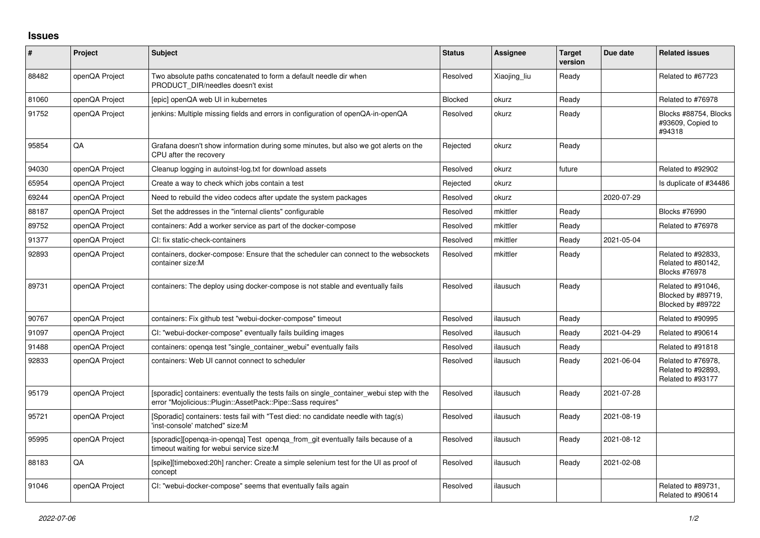## **Issues**

| #     | Project        | <b>Subject</b>                                                                                                                                           | <b>Status</b> | Assignee     | <b>Target</b><br>version | Due date   | <b>Related issues</b>                                         |
|-------|----------------|----------------------------------------------------------------------------------------------------------------------------------------------------------|---------------|--------------|--------------------------|------------|---------------------------------------------------------------|
| 88482 | openQA Project | Two absolute paths concatenated to form a default needle dir when<br>PRODUCT DIR/needles doesn't exist                                                   | Resolved      | Xiaojing_liu | Ready                    |            | Related to #67723                                             |
| 81060 | openQA Project | [epic] openQA web UI in kubernetes                                                                                                                       | Blocked       | okurz        | Ready                    |            | Related to #76978                                             |
| 91752 | openQA Project | jenkins: Multiple missing fields and errors in configuration of openQA-in-openQA                                                                         | Resolved      | okurz        | Ready                    |            | Blocks #88754, Blocks<br>#93609, Copied to<br>#94318          |
| 95854 | QA             | Grafana doesn't show information during some minutes, but also we got alerts on the<br>CPU after the recovery                                            | Rejected      | okurz        | Ready                    |            |                                                               |
| 94030 | openQA Project | Cleanup logging in autoinst-log.txt for download assets                                                                                                  | Resolved      | okurz        | future                   |            | Related to #92902                                             |
| 65954 | openQA Project | Create a way to check which jobs contain a test                                                                                                          | Rejected      | okurz        |                          |            | Is duplicate of #34486                                        |
| 69244 | openQA Project | Need to rebuild the video codecs after update the system packages                                                                                        | Resolved      | okurz        |                          | 2020-07-29 |                                                               |
| 88187 | openQA Project | Set the addresses in the "internal clients" configurable                                                                                                 | Resolved      | mkittler     | Ready                    |            | <b>Blocks #76990</b>                                          |
| 89752 | openQA Project | containers: Add a worker service as part of the docker-compose                                                                                           | Resolved      | mkittler     | Ready                    |            | Related to #76978                                             |
| 91377 | openQA Project | CI: fix static-check-containers                                                                                                                          | Resolved      | mkittler     | Ready                    | 2021-05-04 |                                                               |
| 92893 | openQA Project | containers, docker-compose: Ensure that the scheduler can connect to the websockets<br>container size:M                                                  | Resolved      | mkittler     | Ready                    |            | Related to #92833,<br>Related to #80142,<br>Blocks #76978     |
| 89731 | openQA Project | containers: The deploy using docker-compose is not stable and eventually fails                                                                           | Resolved      | ilausuch     | Ready                    |            | Related to #91046.<br>Blocked by #89719,<br>Blocked by #89722 |
| 90767 | openQA Project | containers: Fix github test "webui-docker-compose" timeout                                                                                               | Resolved      | ilausuch     | Ready                    |            | Related to #90995                                             |
| 91097 | openQA Project | CI: "webui-docker-compose" eventually fails building images                                                                                              | Resolved      | ilausuch     | Ready                    | 2021-04-29 | Related to #90614                                             |
| 91488 | openQA Project | containers: openga test "single_container_webui" eventually fails                                                                                        | Resolved      | ilausuch     | Ready                    |            | Related to #91818                                             |
| 92833 | openQA Project | containers: Web UI cannot connect to scheduler                                                                                                           | Resolved      | ilausuch     | Ready                    | 2021-06-04 | Related to #76978,<br>Related to #92893.<br>Related to #93177 |
| 95179 | openQA Project | [sporadic] containers: eventually the tests fails on single container webui step with the<br>error "Mojolicious::Plugin::AssetPack::Pipe::Sass requires" | Resolved      | ilausuch     | Ready                    | 2021-07-28 |                                                               |
| 95721 | openQA Project | [Sporadic] containers: tests fail with "Test died: no candidate needle with tag(s)<br>'inst-console' matched" size:M                                     | Resolved      | ilausuch     | Ready                    | 2021-08-19 |                                                               |
| 95995 | openQA Project | [sporadic][openqa-in-openqa] Test openqa_from_git eventually fails because of a<br>timeout waiting for webui service size:M                              | Resolved      | ilausuch     | Ready                    | 2021-08-12 |                                                               |
| 88183 | QA             | [spike][timeboxed:20h] rancher: Create a simple selenium test for the UI as proof of<br>concept                                                          | Resolved      | ilausuch     | Ready                    | 2021-02-08 |                                                               |
| 91046 | openQA Project | CI: "webui-docker-compose" seems that eventually fails again                                                                                             | Resolved      | ilausuch     |                          |            | Related to #89731,<br>Related to #90614                       |